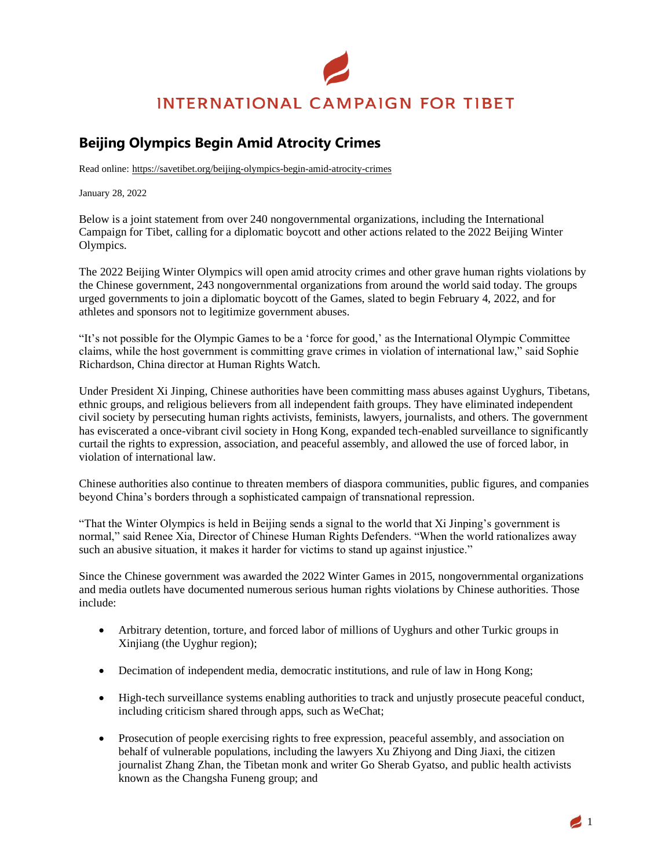## **INTERNATIONAL CAMPAIGN FOR TIBET**

## **Beijing Olympics Begin Amid Atrocity Crimes**

Read online: https://savetibet.org/beijing-olympics-begin-amid-atrocity-crimes

January 28, 2022

Below is a joint statement from over 240 nongovernmental organizations, including the International Campaign for Tibet, calling for a diplomatic boycott and other actions related to the 2022 Beijing Winter Olympics.

The 2022 Beijing Winter Olympics will open amid atrocity crimes and other grave human rights violations by the Chinese government, 243 nongovernmental organizations from around the world said today. The groups urged governments to join a diplomatic boycott of the Games, slated to begin February 4, 2022, and for athletes and sponsors not to legitimize government abuses.

"It's not possible for the Olympic Games to be a 'force for good,' as the International Olympic Committee claims, while the host government is committing grave crimes in violation of international law," said Sophie Richardson, China director at Human Rights Watch.

Under President Xi Jinping, Chinese authorities have been committing mass abuses against Uyghurs, Tibetans, ethnic groups, and religious believers from all independent faith groups. They have eliminated independent civil society by persecuting human rights activists, feminists, lawyers, journalists, and others. The government has eviscerated a once-vibrant civil society in Hong Kong, expanded tech-enabled surveillance to significantly curtail the rights to expression, association, and peaceful assembly, and allowed the use of forced labor, in violation of international law.

Chinese authorities also continue to threaten members of diaspora communities, public figures, and companies beyond China's borders through a sophisticated campaign of transnational repression.

"That the Winter Olympics is held in Beijing sends a signal to the world that Xi Jinping's government is normal," said Renee Xia, Director of Chinese Human Rights Defenders. "When the world rationalizes away such an abusive situation, it makes it harder for victims to stand up against injustice."

Since the Chinese government was awarded the 2022 Winter Games in 2015, nongovernmental organizations and media outlets have documented numerous serious human rights violations by Chinese authorities. Those include:

- Arbitrary detention, torture, and forced labor of millions of Uyghurs and other Turkic groups in Xinjiang (the Uyghur region);
- Decimation of independent media, democratic institutions, and rule of law in Hong Kong;
- High-tech surveillance systems enabling authorities to track and unjustly prosecute peaceful conduct, including criticism shared through apps, such as WeChat;
- Prosecution of people exercising rights to free expression, peaceful assembly, and association on behalf of vulnerable populations, including the lawyers Xu Zhiyong and Ding Jiaxi, the citizen journalist Zhang Zhan, the Tibetan monk and writer Go Sherab Gyatso, and public health activists known as the Changsha Funeng group; and

 $\blacksquare$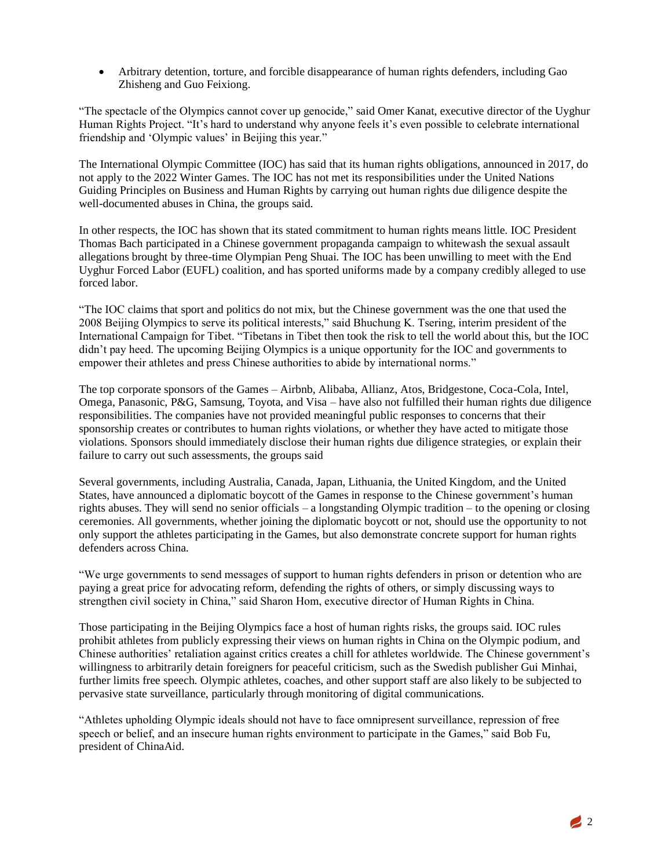• Arbitrary detention, torture, and forcible disappearance of human rights defenders, including Gao Zhisheng and Guo Feixiong.

"The spectacle of the Olympics cannot cover up genocide," said Omer Kanat, executive director of the Uyghur Human Rights Project. "It's hard to understand why anyone feels it's even possible to celebrate international friendship and 'Olympic values' in Beijing this year."

The International Olympic Committee (IOC) has said that its human rights obligations, announced in 2017, do not apply to the 2022 Winter Games. The IOC has not met its responsibilities under the United Nations Guiding Principles on Business and Human Rights by carrying out human rights due diligence despite the well-documented abuses in China, the groups said.

In other respects, the IOC has shown that its stated commitment to human rights means little. IOC President Thomas Bach participated in a Chinese government propaganda campaign to whitewash the sexual assault allegations brought by three-time Olympian Peng Shuai. The IOC has been unwilling to meet with the End Uyghur Forced Labor (EUFL) coalition, and has sported uniforms made by a company credibly alleged to use forced labor.

"The IOC claims that sport and politics do not mix, but the Chinese government was the one that used the 2008 Beijing Olympics to serve its political interests," said Bhuchung K. Tsering, interim president of the International Campaign for Tibet. "Tibetans in Tibet then took the risk to tell the world about this, but the IOC didn't pay heed. The upcoming Beijing Olympics is a unique opportunity for the IOC and governments to empower their athletes and press Chinese authorities to abide by international norms."

The top corporate sponsors of the Games – Airbnb, Alibaba, Allianz, Atos, Bridgestone, Coca-Cola, Intel, Omega, Panasonic, P&G, Samsung, Toyota, and Visa – have also not fulfilled their human rights due diligence responsibilities. The companies have not provided meaningful public responses to concerns that their sponsorship creates or contributes to human rights violations, or whether they have acted to mitigate those violations. Sponsors should immediately disclose their human rights due diligence strategies, or explain their failure to carry out such assessments, the groups said

Several governments, including Australia, Canada, Japan, Lithuania, the United Kingdom, and the United States, have announced a diplomatic boycott of the Games in response to the Chinese government's human rights abuses. They will send no senior officials – a longstanding Olympic tradition – to the opening or closing ceremonies. All governments, whether joining the diplomatic boycott or not, should use the opportunity to not only support the athletes participating in the Games, but also demonstrate concrete support for human rights defenders across China.

"We urge governments to send messages of support to human rights defenders in prison or detention who are paying a great price for advocating reform, defending the rights of others, or simply discussing ways to strengthen civil society in China," said Sharon Hom, executive director of Human Rights in China.

Those participating in the Beijing Olympics face a host of human rights risks, the groups said. IOC rules prohibit athletes from publicly expressing their views on human rights in China on the Olympic podium, and Chinese authorities' retaliation against critics creates a chill for athletes worldwide. The Chinese government's willingness to arbitrarily detain foreigners for peaceful criticism, such as the Swedish publisher Gui Minhai, further limits free speech. Olympic athletes, coaches, and other support staff are also likely to be subjected to pervasive state surveillance, particularly through monitoring of digital communications.

"Athletes upholding Olympic ideals should not have to face omnipresent surveillance, repression of free speech or belief, and an insecure human rights environment to participate in the Games," said Bob Fu, president of ChinaAid.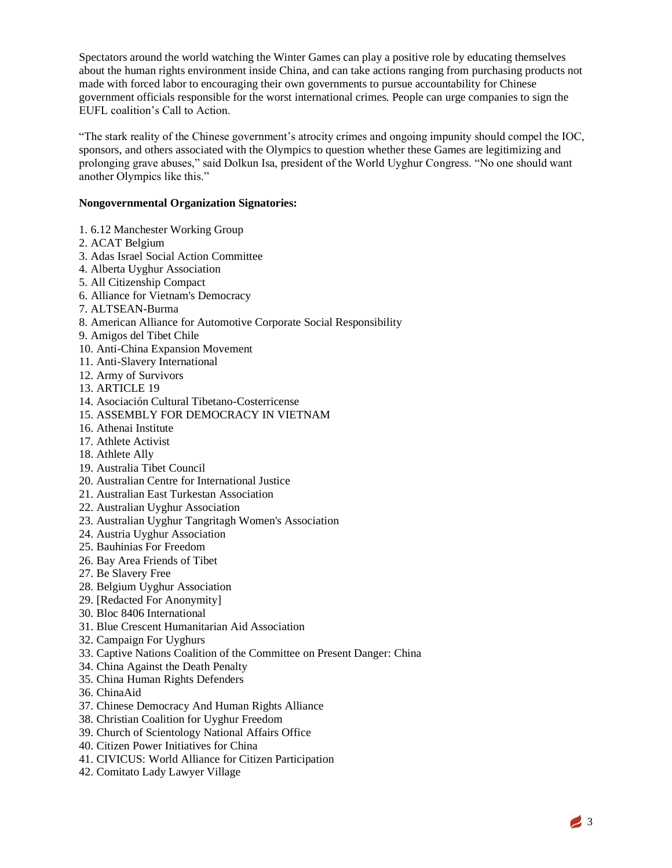Spectators around the world watching the Winter Games can play a positive role by educating themselves about the human rights environment inside China, and can take actions ranging from purchasing products not made with forced labor to encouraging their own governments to pursue accountability for Chinese government officials responsible for the worst international crimes. People can urge companies to sign the EUFL coalition's Call to Action.

"The stark reality of the Chinese government's atrocity crimes and ongoing impunity should compel the IOC, sponsors, and others associated with the Olympics to question whether these Games are legitimizing and prolonging grave abuses," said Dolkun Isa, president of the World Uyghur Congress. "No one should want another Olympics like this."

## **Nongovernmental Organization Signatories:**

- 1. 6.12 Manchester Working Group
- 2. ACAT Belgium
- 3. Adas Israel Social Action Committee
- 4. Alberta Uyghur Association
- 5. All Citizenship Compact
- 6. Alliance for Vietnam's Democracy
- 7. ALTSEAN-Burma
- 8. American Alliance for Automotive Corporate Social Responsibility
- 9. Amigos del Tibet Chile
- 10. Anti-China Expansion Movement
- 11. Anti-Slavery International
- 12. Army of Survivors
- 13. ARTICLE 19
- 14. Asociación Cultural Tibetano-Costerricense
- 15. ASSEMBLY FOR DEMOCRACY IN VIETNAM
- 16. Athenai Institute
- 17. Athlete Activist
- 18. Athlete Ally
- 19. Australia Tibet Council
- 20. Australian Centre for International Justice
- 21. Australian East Turkestan Association
- 22. Australian Uyghur Association
- 23. Australian Uyghur Tangritagh Women's Association
- 24. Austria Uyghur Association
- 25. Bauhinias For Freedom
- 26. Bay Area Friends of Tibet
- 27. Be Slavery Free
- 28. Belgium Uyghur Association
- 29. [Redacted For Anonymity]
- 30. Bloc 8406 International
- 31. Blue Crescent Humanitarian Aid Association
- 32. Campaign For Uyghurs
- 33. Captive Nations Coalition of the Committee on Present Danger: China
- 34. China Against the Death Penalty
- 35. China Human Rights Defenders
- 36. ChinaAid
- 37. Chinese Democracy And Human Rights Alliance
- 38. Christian Coalition for Uyghur Freedom
- 39. Church of Scientology National Affairs Office
- 40. Citizen Power Initiatives for China
- 41. CIVICUS: World Alliance for Citizen Participation
- 42. Comitato Lady Lawyer Village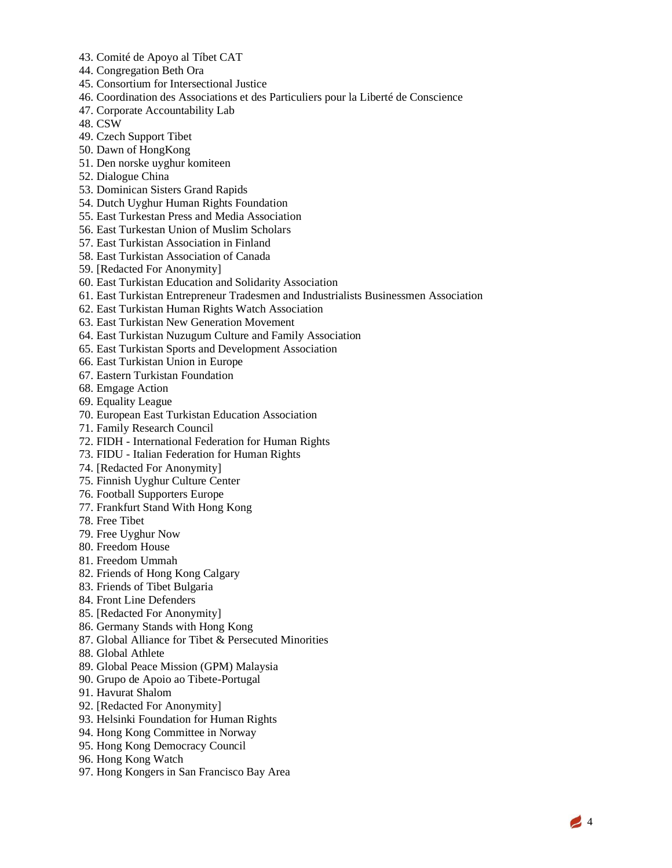- 43. Comité de Apoyo al Tíbet CAT
- 44. Congregation Beth Ora
- 45. Consortium for Intersectional Justice
- 46. Coordination des Associations et des Particuliers pour la Liberté de Conscience
- 47. Corporate Accountability Lab
- 48. CSW
- 49. Czech Support Tibet
- 50. Dawn of HongKong
- 51. Den norske uyghur komiteen
- 52. Dialogue China
- 53. Dominican Sisters Grand Rapids
- 54. Dutch Uyghur Human Rights Foundation
- 55. East Turkestan Press and Media Association
- 56. East Turkestan Union of Muslim Scholars
- 57. East Turkistan Association in Finland
- 58. East Turkistan Association of Canada
- 59. [Redacted For Anonymity]
- 60. East Turkistan Education and Solidarity Association
- 61. East Turkistan Entrepreneur Tradesmen and Industrialists Businessmen Association
- 62. East Turkistan Human Rights Watch Association
- 63. East Turkistan New Generation Movement
- 64. East Turkistan Nuzugum Culture and Family Association
- 65. East Turkistan Sports and Development Association
- 66. East Turkistan Union in Europe
- 67. Eastern Turkistan Foundation
- 68. Emgage Action
- 69. Equality League
- 70. European East Turkistan Education Association
- 71. Family Research Council
- 72. FIDH International Federation for Human Rights
- 73. FIDU Italian Federation for Human Rights
- 74. [Redacted For Anonymity]
- 75. Finnish Uyghur Culture Center
- 76. Football Supporters Europe
- 77. Frankfurt Stand With Hong Kong
- 78. Free Tibet
- 79. Free Uyghur Now
- 80. Freedom House
- 81. Freedom Ummah
- 82. Friends of Hong Kong Calgary
- 83. Friends of Tibet Bulgaria
- 84. Front Line Defenders
- 85. [Redacted For Anonymity]
- 86. Germany Stands with Hong Kong
- 87. Global Alliance for Tibet & Persecuted Minorities
- 88. Global Athlete
- 89. Global Peace Mission (GPM) Malaysia
- 90. Grupo de Apoio ao Tibete-Portugal
- 91. Havurat Shalom
- 92. [Redacted For Anonymity]
- 93. Helsinki Foundation for Human Rights
- 94. Hong Kong Committee in Norway
- 95. Hong Kong Democracy Council
- 96. Hong Kong Watch
- 97. Hong Kongers in San Francisco Bay Area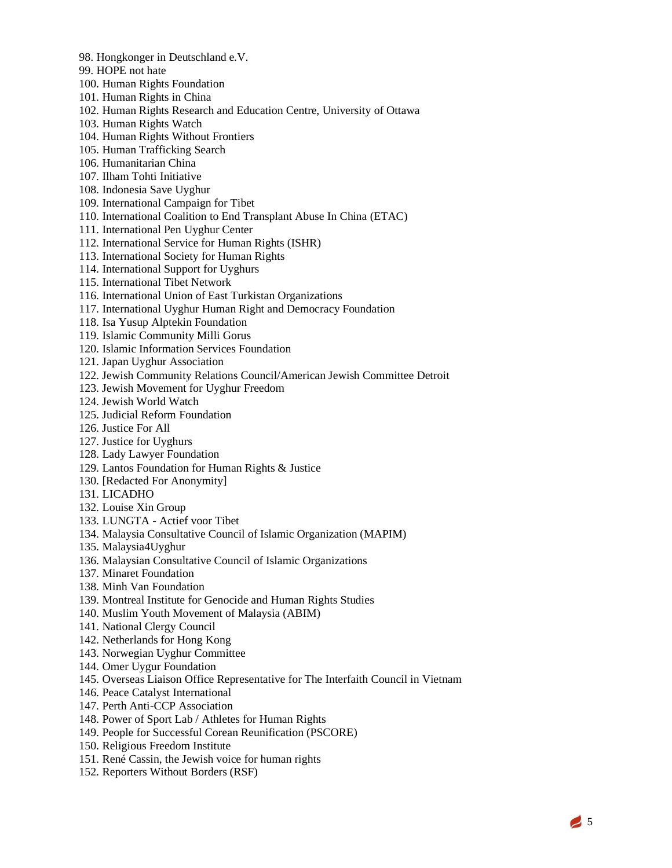- 98. Hongkonger in Deutschland e.V.
- 99. HOPE not hate
- 100. Human Rights Foundation
- 101. Human Rights in China
- 102. Human Rights Research and Education Centre, University of Ottawa
- 103. Human Rights Watch
- 104. Human Rights Without Frontiers
- 105. Human Trafficking Search
- 106. Humanitarian China
- 107. Ilham Tohti Initiative
- 108. Indonesia Save Uyghur
- 109. International Campaign for Tibet
- 110. International Coalition to End Transplant Abuse In China (ETAC)
- 111. International Pen Uyghur Center
- 112. International Service for Human Rights (ISHR)
- 113. International Society for Human Rights
- 114. International Support for Uyghurs
- 115. International Tibet Network
- 116. International Union of East Turkistan Organizations
- 117. International Uyghur Human Right and Democracy Foundation
- 118. Isa Yusup Alptekin Foundation
- 119. Islamic Community Milli Gorus
- 120. Islamic Information Services Foundation
- 121. Japan Uyghur Association
- 122. Jewish Community Relations Council/American Jewish Committee Detroit
- 123. Jewish Movement for Uyghur Freedom
- 124. Jewish World Watch
- 125. Judicial Reform Foundation
- 126. Justice For All
- 127. Justice for Uyghurs
- 128. Lady Lawyer Foundation
- 129. Lantos Foundation for Human Rights & Justice
- 130. [Redacted For Anonymity]
- 131. LICADHO
- 132. Louise Xin Group
- 133. LUNGTA Actief voor Tibet
- 134. Malaysia Consultative Council of Islamic Organization (MAPIM)
- 135. Malaysia4Uyghur
- 136. Malaysian Consultative Council of Islamic Organizations
- 137. Minaret Foundation
- 138. Minh Van Foundation
- 139. Montreal Institute for Genocide and Human Rights Studies
- 140. Muslim Youth Movement of Malaysia (ABIM)
- 141. National Clergy Council
- 142. Netherlands for Hong Kong
- 143. Norwegian Uyghur Committee
- 144. Omer Uygur Foundation
- 145. Overseas Liaison Office Representative for The Interfaith Council in Vietnam
- 146. Peace Catalyst International
- 147. Perth Anti-CCP Association
- 148. Power of Sport Lab / Athletes for Human Rights
- 149. People for Successful Corean Reunification (PSCORE)
- 150. Religious Freedom Institute
- 151. René Cassin, the Jewish voice for human rights
- 152. Reporters Without Borders (RSF)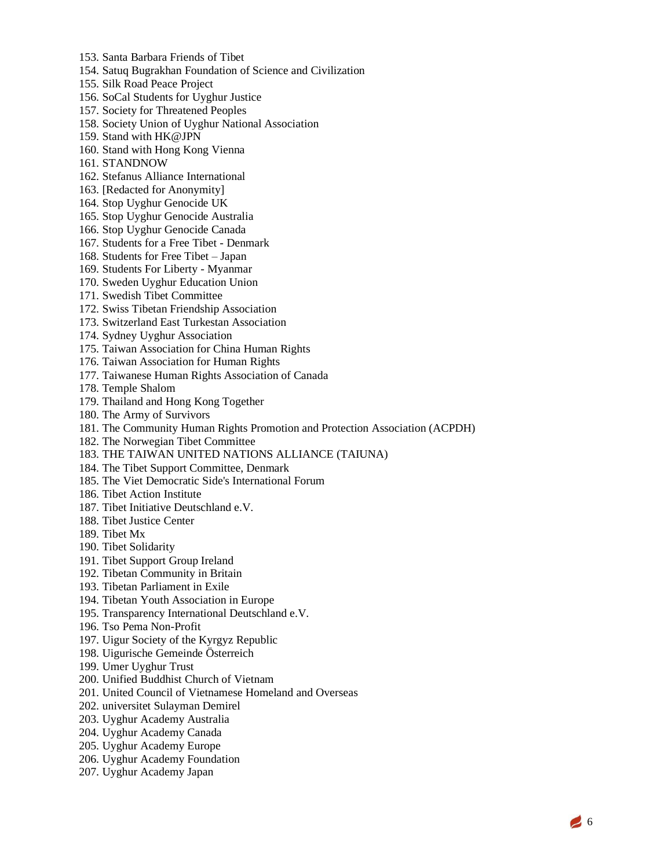- 153. Santa Barbara Friends of Tibet
- 154. Satuq Bugrakhan Foundation of Science and Civilization
- 155. Silk Road Peace Project
- 156. SoCal Students for Uyghur Justice
- 157. Society for Threatened Peoples
- 158. Society Union of Uyghur National Association
- 159. Stand with HK@JPN
- 160. Stand with Hong Kong Vienna
- 161. STANDNOW
- 162. Stefanus Alliance International
- 163. [Redacted for Anonymity]
- 164. Stop Uyghur Genocide UK
- 165. Stop Uyghur Genocide Australia
- 166. Stop Uyghur Genocide Canada
- 167. Students for a Free Tibet Denmark
- 168. Students for Free Tibet Japan
- 169. Students For Liberty Myanmar
- 170. Sweden Uyghur Education Union
- 171. Swedish Tibet Committee
- 172. Swiss Tibetan Friendship Association
- 173. Switzerland East Turkestan Association
- 174. Sydney Uyghur Association
- 175. Taiwan Association for China Human Rights
- 176. Taiwan Association for Human Rights
- 177. Taiwanese Human Rights Association of Canada
- 178. Temple Shalom
- 179. Thailand and Hong Kong Together
- 180. The Army of Survivors
- 181. The Community Human Rights Promotion and Protection Association (ACPDH)
- 182. The Norwegian Tibet Committee
- 183. THE TAIWAN UNITED NATIONS ALLIANCE (TAIUNA)
- 184. The Tibet Support Committee, Denmark
- 185. The Viet Democratic Side's International Forum
- 186. Tibet Action Institute
- 187. Tibet Initiative Deutschland e.V.
- 188. Tibet Justice Center
- 189. Tibet Mx
- 190. Tibet Solidarity
- 191. Tibet Support Group Ireland
- 192. Tibetan Community in Britain
- 193. Tibetan Parliament in Exile
- 194. Tibetan Youth Association in Europe
- 195. Transparency International Deutschland e.V.
- 196. Tso Pema Non-Profit
- 197. Uigur Society of the Kyrgyz Republic
- 198. Uigurische Gemeinde Österreich
- 199. Umer Uyghur Trust
- 200. Unified Buddhist Church of Vietnam
- 201. United Council of Vietnamese Homeland and Overseas
- 202. universitet Sulayman Demirel
- 203. Uyghur Academy Australia
- 204. Uyghur Academy Canada
- 205. Uyghur Academy Europe
- 206. Uyghur Academy Foundation
- 207. Uyghur Academy Japan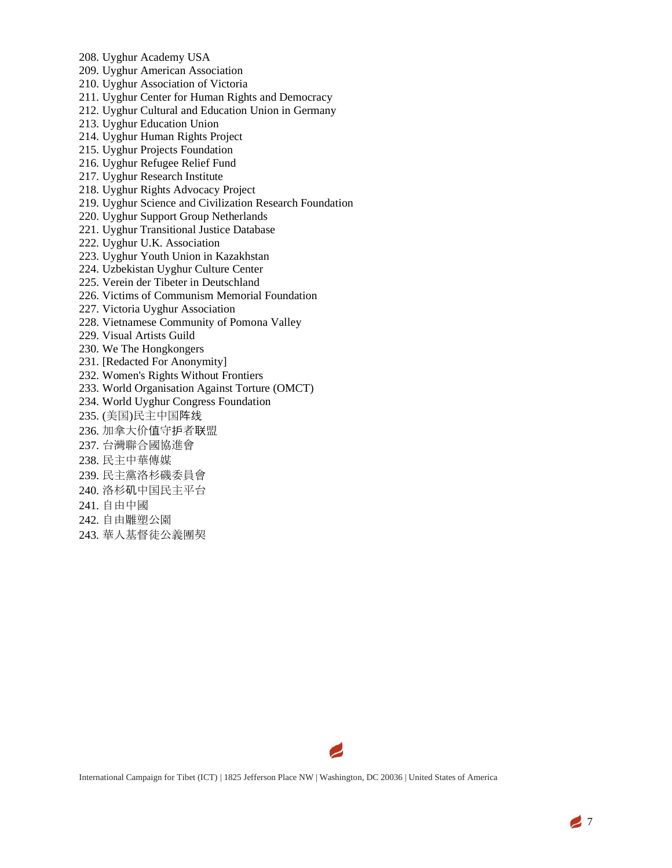- 208. Uyghur Academy USA
- 209. Uyghur American Association
- 210. Uyghur Association of Victoria
- 211. Uyghur Center for Human Rights and Democracy
- 212. Uyghur Cultural and Education Union in Germany
- 213. Uyghur Education Union
- 214. Uyghur Human Rights Project
- 215. Uyghur Projects Foundation
- 216. Uyghur Refugee Relief Fund
- 217. Uyghur Research Institute
- 218. Uyghur Rights Advocacy Project
- 219. Uyghur Science and Civilization Research Foundation
- 220. Uyghur Support Group Netherlands
- 221. Uyghur Transitional Justice Database
- 222. Uyghur U.K. Association
- 223. Uyghur Youth Union in Kazakhstan
- 224. Uzbekistan Uyghur Culture Center
- 225. Verein der Tibeter in Deutschland
- 226. Victims of Communism Memorial Foundation
- 227. Victoria Uyghur Association
- 228. Vietnamese Community of Pomona Valley
- 229. Visual Artists Guild
- 230. We The Hongkongers
- 231. [Redacted For Anonymity]
- 232. Women's Rights Without Frontiers
- 233. World Organisation Against Torture (OMCT)
- 234. World Uyghur Congress Foundation
- 235. (美国)民主中国阵线
- 236. 加拿大价值守护者联盟
- 237. 台灣聯合國協進會
- 238. 民主中華傳媒
- 239. 民主黨洛杉磯委員會
- 240. 洛杉矶中国民主平台
- 241. 自由中國
- 242. 自由雕塑公園
- 243. 華人基督徒公義團契